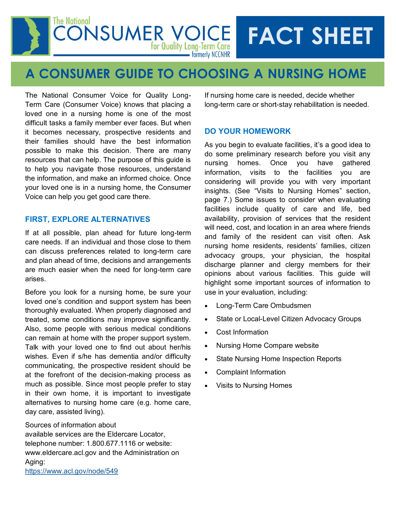#### The National **CONSUMER VOICE FACT SHEET** for Quality Long-Term Care • formerly NCCNHR

# **A CONSUMER GUIDE TO CHOOSING A NURSING HOME**

The National Consumer Voice for Quality Long-Term Care (Consumer Voice) knows that placing a loved one in a nursing home is one of the most difficult tasks a family member ever faces. But when it becomes necessary, prospective residents and their families should have the best information possible to make this decision. There are many resources that can help. The purpose of this guide is to help you navigate those resources, understand the information, and make an informed choice. Once your loved one is in a nursing home, the Consumer Voice can help you get good care there.

## **FIRST, EXPLORE ALTERNATIVES**

If at all possible, plan ahead for future long-term care needs. If an individual and those close to them can discuss preferences related to long-term care and plan ahead of time, decisions and arrangements are much easier when the need for long-term care arises.

Before you look for a nursing home, be sure your loved one's condition and support system has been thoroughly evaluated. When properly diagnosed and treated, some conditions may improve significantly. Also, some people with serious medical conditions can remain at home with the proper support system. Talk with your loved one to find out about her/his wishes. Even if s/he has dementia and/or difficulty communicating, the prospective resident should be at the forefront of the decision-making process as much as possible. Since most people prefer to stay in their own home, it is important to investigate alternatives to nursing home care (e.g. home care, day care, assisted living).

Sources of information about available services are the Eldercare Locator, telephone number: 1.800.677.1116 or website: www.eldercare.acl.gov and the Administration on Aging: <https://www.acl.gov/node/549>

If nursing home care is needed, decide whether long-term care or short-stay rehabilitation is needed.

## **DO YOUR HOMEWORK**

As you begin to evaluate facilities, it's a good idea to do some preliminary research before you visit any nursing homes. Once you have gathered information, visits to the facilities you are considering will provide you with very important insights. (See "Visits to Nursing Homes" section, page 7.) Some issues to consider when evaluating facilities include quality of care and life, bed availability, provision of services that the resident will need, cost, and location in an area where friends and family of the resident can visit often. Ask nursing home residents, residents' families, citizen advocacy groups, your physician, the hospital discharge planner and clergy members for their opinions about various facilities. This guide will highlight some important sources of information to use in your evaluation, including:

- Long-Term Care Ombudsmen
- State or Local-Level Citizen Advocacy Groups
- Cost Information
- Nursing Home Compare website
- State Nursing Home Inspection Reports
- Complaint Information
- Visits to Nursing Homes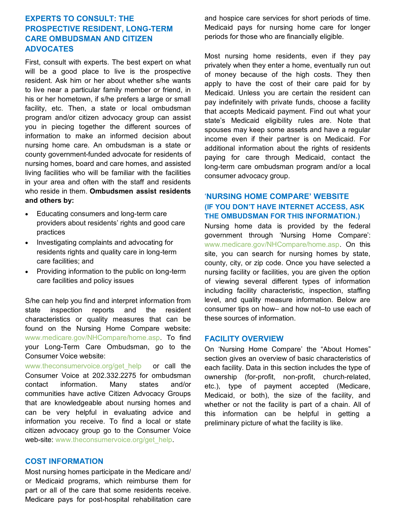## **EXPERTS TO CONSULT: THE PROSPECTIVE RESIDENT, LONG-TERM CARE OMBUDSMAN AND CITIZEN ADVOCATES**

First, consult with experts. The best expert on what will be a good place to live is the prospective resident. Ask him or her about whether s/he wants to live near a particular family member or friend, in his or her hometown, if s/he prefers a large or small facility, etc. Then, a state or local ombudsman program and/or citizen advocacy group can assist you in piecing together the different sources of information to make an informed decision about nursing home care. An ombudsman is a state or county government-funded advocate for residents of nursing homes, board and care homes, and assisted living facilities who will be familiar with the facilities in your area and often with the staff and residents who reside in them. **Ombudsmen assist residents and others by:** 

- Educating consumers and long-term care providers about residents' rights and good care practices
- Investigating complaints and advocating for residents rights and quality care in long-term care facilities; and
- Providing information to the public on long-term care facilities and policy issues

S/he can help you find and interpret information from state inspection reports and the resident characteristics or quality measures that can be found on the Nursing Home Compare website: www.medicare.gov/NHCompare/home.asp. To find your Long-Term Care Ombudsman, go to the Consumer Voice website:

www.theconsumervoice.org/get\_help or call the Consumer Voice at 202.332.2275 for ombudsman contact information. Many states and/or communities have active Citizen Advocacy Groups that are knowledgeable about nursing homes and can be very helpful in evaluating advice and information you receive. To find a local or state citizen advocacy group go to the Consumer Voice web-site: www.theconsumervoice.org/get\_help.

#### **COST INFORMATION**

Most nursing homes participate in the Medicare and/ or Medicaid programs, which reimburse them for part or all of the care that some residents receive. Medicare pays for post-hospital rehabilitation care and hospice care services for short periods of time. Medicaid pays for nursing home care for longer periods for those who are financially eligible.

Most nursing home residents, even if they pay privately when they enter a home, eventually run out of money because of the high costs. They then apply to have the cost of their care paid for by Medicaid. Unless you are certain the resident can pay indefinitely with private funds, choose a facility that accepts Medicaid payment. Find out what your state's Medicaid eligibility rules are. Note that spouses may keep some assets and have a regular income even if their partner is on Medicaid. For additional information about the rights of residents paying for care through Medicaid, contact the long-term care ombudsman program and/or a local consumer advocacy group.

## '**NURSING HOME COMPARE' WEBSITE (IF YOU DON'T HAVE INTERNET ACCESS, ASK THE OMBUDSMAN FOR THIS INFORMATION.)**

Nursing home data is provided by the federal government through 'Nursing Home Compare': www.medicare.gov/NHCompare/home.asp. On this site, you can search for nursing homes by state, county, city, or zip code. Once you have selected a nursing facility or facilities, you are given the option of viewing several different types of information including facility characteristic, inspection, staffing level, and quality measure information. Below are consumer tips on how– and how not–to use each of these sources of information.

#### **FACILITY OVERVIEW**

On 'Nursing Home Compare' the "About Homes" section gives an overview of basic characteristics of each facility. Data in this section includes the type of ownership (for-profit, non-profit, church-related, etc.), type of payment accepted (Medicare, Medicaid, or both), the size of the facility, and whether or not the facility is part of a chain. All of this information can be helpful in getting a preliminary picture of what the facility is like.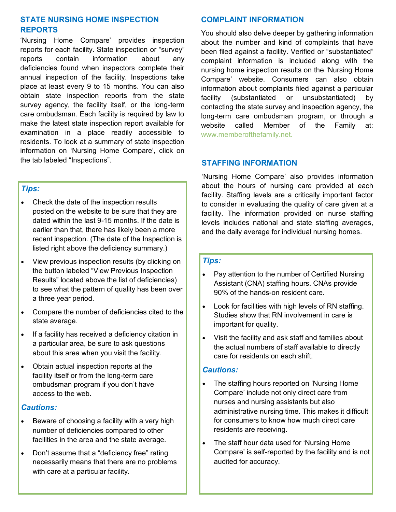## **STATE NURSING HOME INSPECTION REPORTS**

'Nursing Home Compare' provides inspection reports for each facility. State inspection or "survey" reports contain information about any deficiencies found when inspectors complete their annual inspection of the facility. Inspections take place at least every 9 to 15 months. You can also obtain state inspection reports from the state survey agency, the facility itself, or the long-term care ombudsman. Each facility is required by law to make the latest state inspection report available for examination in a place readily accessible to residents. To look at a summary of state inspection information on 'Nursing Home Compare', click on the tab labeled "Inspections".

## *Tips:*

- Check the date of the inspection results posted on the website to be sure that they are dated within the last 9-15 months. If the date is earlier than that, there has likely been a more recent inspection. (The date of the Inspection is listed right above the deficiency summary.)
- View previous inspection results (by clicking on the button labeled "View Previous Inspection Results" located above the list of deficiencies) to see what the pattern of quality has been over a three year period.
- Compare the number of deficiencies cited to the state average.
- If a facility has received a deficiency citation in a particular area, be sure to ask questions about this area when you visit the facility.
- Obtain actual inspection reports at the facility itself or from the long-term care ombudsman program if you don't have access to the web.

## *Cautions:*

- Beware of choosing a facility with a very high number of deficiencies compared to other facilities in the area and the state average.
- Don't assume that a "deficiency free" rating necessarily means that there are no problems with care at a particular facility.

## **COMPLAINT INFORMATION**

You should also delve deeper by gathering information about the number and kind of complaints that have been filed against a facility. Verified or "substantiated" complaint information is included along with the nursing home inspection results on the 'Nursing Home Compare' website. Consumers can also obtain information about complaints filed against a particular facility (substantiated or unsubstantiated) by contacting the state survey and inspection agency, the long-term care ombudsman program, or through a website called Member of the Family at: www.memberofthefamily.net.

## **STAFFING INFORMATION**

'Nursing Home Compare' also provides information about the hours of nursing care provided at each facility. Staffing levels are a critically important factor to consider in evaluating the quality of care given at a facility. The information provided on nurse staffing levels includes national and state staffing averages, and the daily average for individual nursing homes.

## *Tips:*

- Pay attention to the number of Certified Nursing Assistant (CNA) staffing hours. CNAs provide 90% of the hands-on resident care.
- Look for facilities with high levels of RN staffing. Studies show that RN involvement in care is important for quality.
- Visit the facility and ask staff and families about the actual numbers of staff available to directly care for residents on each shift.

#### *Cautions:*

- The staffing hours reported on 'Nursing Home Compare' include not only direct care from nurses and nursing assistants but also administrative nursing time. This makes it difficult for consumers to know how much direct care residents are receiving.
- The staff hour data used for 'Nursing Home Compare' is self-reported by the facility and is not audited for accuracy.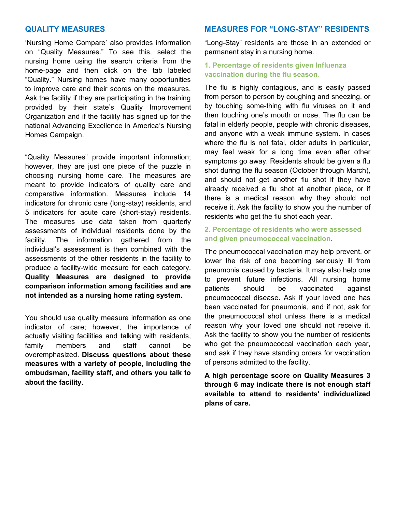#### **QUALITY MEASURES**

'Nursing Home Compare' also provides information on "Quality Measures." To see this, select the nursing home using the search criteria from the home-page and then click on the tab labeled "Quality." Nursing homes have many opportunities to improve care and their scores on the measures. Ask the facility if they are participating in the training provided by their state's Quality Improvement Organization and if the facility has signed up for the national Advancing Excellence in America's Nursing Homes Campaign.

"Quality Measures" provide important information; however, they are just one piece of the puzzle in choosing nursing home care. The measures are meant to provide indicators of quality care and comparative information. Measures include 14 indicators for chronic care (long-stay) residents, and 5 indicators for acute care (short-stay) residents. The measures use data taken from quarterly assessments of individual residents done by the facility. The information gathered from the individual's assessment is then combined with the assessments of the other residents in the facility to produce a facility-wide measure for each category. **Quality Measures are designed to provide comparison information among facilities and are not intended as a nursing home rating system.**

You should use quality measure information as one indicator of care; however, the importance of actually visiting facilities and talking with residents, family members and staff cannot be overemphasized. **Discuss questions about these measures with a variety of people, including the ombudsman, facility staff, and others you talk to about the facility.**

#### **MEASURES FOR "LONG-STAY" RESIDENTS**

"Long-Stay" residents are those in an extended or permanent stay in a nursing home.

#### **1. Percentage of residents given Influenza vaccination during the flu season**.

The flu is highly contagious, and is easily passed from person to person by coughing and sneezing, or by touching some-thing with flu viruses on it and then touching one's mouth or nose. The flu can be fatal in elderly people, people with chronic diseases, and anyone with a weak immune system. In cases where the flu is not fatal, older adults in particular, may feel weak for a long time even after other symptoms go away. Residents should be given a flu shot during the flu season (October through March), and should not get another flu shot if they have already received a flu shot at another place, or if there is a medical reason why they should not receive it. Ask the facility to show you the number of residents who get the flu shot each year.

#### **2. Percentage of residents who were assessed and given pneumococcal vaccination**.

The pneumococcal vaccination may help prevent, or lower the risk of one becoming seriously ill from pneumonia caused by bacteria. It may also help one to prevent future infections. All nursing home patients should be vaccinated against pneumococcal disease. Ask if your loved one has been vaccinated for pneumonia, and if not, ask for the pneumococcal shot unless there is a medical reason why your loved one should not receive it. Ask the facility to show you the number of residents who get the pneumococcal vaccination each year, and ask if they have standing orders for vaccination of persons admitted to the facility.

**A high percentage score on Quality Measures 3 through 6 may indicate there is not enough staff available to attend to residents' individualized plans of care.**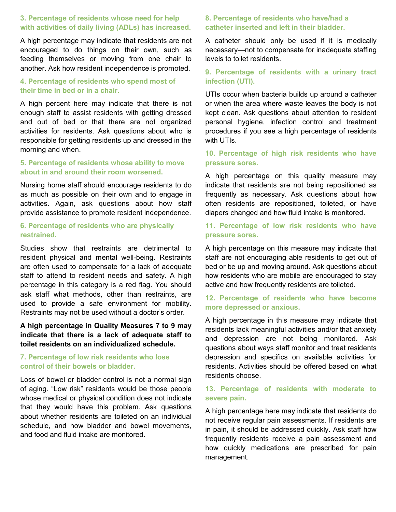## **3. Percentage of residents whose need for help with activities of daily living (ADLs) has increased.**

A high percentage may indicate that residents are not encouraged to do things on their own, such as feeding themselves or moving from one chair to another. Ask how resident independence is promoted.

#### **4. Percentage of residents who spend most of their time in bed or in a chair.**

A high percent here may indicate that there is not enough staff to assist residents with getting dressed and out of bed or that there are not organized activities for residents. Ask questions about who is responsible for getting residents up and dressed in the morning and when.

#### **5. Percentage of residents whose ability to move about in and around their room worsened.**

Nursing home staff should encourage residents to do as much as possible on their own and to engage in activities. Again, ask questions about how staff provide assistance to promote resident independence.

## **6. Percentage of residents who are physically restrained.**

Studies show that restraints are detrimental to resident physical and mental well-being. Restraints are often used to compensate for a lack of adequate staff to attend to resident needs and safety. A high percentage in this category is a red flag. You should ask staff what methods, other than restraints, are used to provide a safe environment for mobility. Restraints may not be used without a doctor's order.

## **A high percentage in Quality Measures 7 to 9 may indicate that there is a lack of adequate staff to toilet residents on an individualized schedule.**

#### **7. Percentage of low risk residents who lose control of their bowels or bladder.**

Loss of bowel or bladder control is not a normal sign of aging. "Low risk" residents would be those people whose medical or physical condition does not indicate that they would have this problem. Ask questions about whether residents are toileted on an individual schedule, and how bladder and bowel movements, and food and fluid intake are monitored**.**

## **8. Percentage of residents who have/had a catheter inserted and left in their bladder.**

A catheter should only be used if it is medically necessary—not to compensate for inadequate staffing levels to toilet residents.

## **9. Percentage of residents with a urinary tract infection (UTI).**

UTIs occur when bacteria builds up around a catheter or when the area where waste leaves the body is not kept clean. Ask questions about attention to resident personal hygiene, infection control and treatment procedures if you see a high percentage of residents with UTIs.

## **10. Percentage of high risk residents who have pressure sores.**

A high percentage on this quality measure may indicate that residents are not being repositioned as frequently as necessary. Ask questions about how often residents are repositioned, toileted, or have diapers changed and how fluid intake is monitored.

## **11. Percentage of low risk residents who have pressure sores.**

A high percentage on this measure may indicate that staff are not encouraging able residents to get out of bed or be up and moving around. Ask questions about how residents who are mobile are encouraged to stay active and how frequently residents are toileted.

#### **12. Percentage of residents who have become more depressed or anxious.**

A high percentage in this measure may indicate that residents lack meaningful activities and/or that anxiety and depression are not being monitored. Ask questions about ways staff monitor and treat residents depression and specifics on available activities for residents. Activities should be offered based on what residents choose.

## **13. Percentage of residents with moderate to severe pain.**

A high percentage here may indicate that residents do not receive regular pain assessments. If residents are in pain, it should be addressed quickly. Ask staff how frequently residents receive a pain assessment and how quickly medications are prescribed for pain management.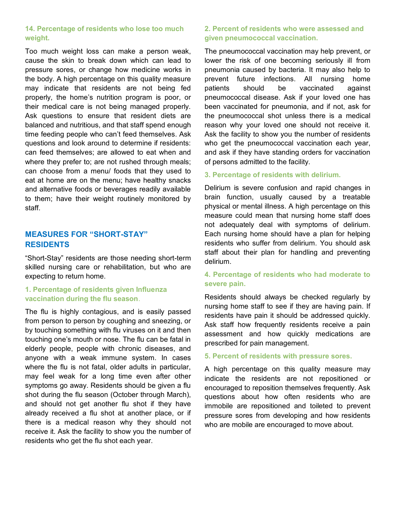#### **14. Percentage of residents who lose too much weight.**

Too much weight loss can make a person weak, cause the skin to break down which can lead to pressure sores, or change how medicine works in the body. A high percentage on this quality measure may indicate that residents are not being fed properly, the home's nutrition program is poor, or their medical care is not being managed properly. Ask questions to ensure that resident diets are balanced and nutritious, and that staff spend enough time feeding people who can't feed themselves. Ask questions and look around to determine if residents: can feed themselves; are allowed to eat when and where they prefer to; are not rushed through meals; can choose from a menu/ foods that they used to eat at home are on the menu; have healthy snacks and alternative foods or beverages readily available to them; have their weight routinely monitored by staff.

## **MEASURES FOR "SHORT-STAY" RESIDENTS**

"Short-Stay" residents are those needing short-term skilled nursing care or rehabilitation, but who are expecting to return home.

## **1. Percentage of residents given Influenza vaccination during the flu season**.

The flu is highly contagious, and is easily passed from person to person by coughing and sneezing, or by touching something with flu viruses on it and then touching one's mouth or nose. The flu can be fatal in elderly people, people with chronic diseases, and anyone with a weak immune system. In cases where the flu is not fatal, older adults in particular, may feel weak for a long time even after other symptoms go away. Residents should be given a flu shot during the flu season (October through March), and should not get another flu shot if they have already received a flu shot at another place, or if there is a medical reason why they should not receive it. Ask the facility to show you the number of residents who get the flu shot each year.

#### **2. Percent of residents who were assessed and given pneumococcal vaccination.**

The pneumococcal vaccination may help prevent, or lower the risk of one becoming seriously ill from pneumonia caused by bacteria. It may also help to prevent future infections. All nursing home patients should be vaccinated against pneumococcal disease. Ask if your loved one has been vaccinated for pneumonia, and if not, ask for the pneumococcal shot unless there is a medical reason why your loved one should not receive it. Ask the facility to show you the number of residents who get the pneumococcal vaccination each year, and ask if they have standing orders for vaccination of persons admitted to the facility.

#### **3. Percentage of residents with delirium.**

Delirium is severe confusion and rapid changes in brain function, usually caused by a treatable physical or mental illness. A high percentage on this measure could mean that nursing home staff does not adequately deal with symptoms of delirium. Each nursing home should have a plan for helping residents who suffer from delirium. You should ask staff about their plan for handling and preventing delirium.

#### **4. Percentage of residents who had moderate to severe pain.**

Residents should always be checked regularly by nursing home staff to see if they are having pain. If residents have pain it should be addressed quickly. Ask staff how frequently residents receive a pain assessment and how quickly medications are prescribed for pain management.

#### **5. Percent of residents with pressure sores.**

A high percentage on this quality measure may indicate the residents are not repositioned or encouraged to reposition themselves frequently. Ask questions about how often residents who are immobile are repositioned and toileted to prevent pressure sores from developing and how residents who are mobile are encouraged to move about.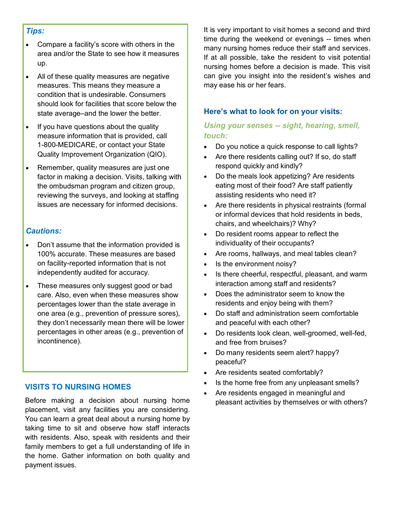#### *Tips:*

- Compare a facility's score with others in the area and/or the State to see how it measures up.
- All of these quality measures are negative measures. This means they measure a condition that is undesirable. Consumers should look for facilities that score below the state average–and the lower the better.
- If you have questions about the quality measure information that is provided, call 1-800-MEDICARE, or contact your State Quality Improvement Organization (QIO).
- Remember, quality measures are just one factor in making a decision. Visits, talking with the ombudsman program and citizen group, reviewing the surveys, and looking at staffing issues are necessary for informed decisions.

## *Cautions:*

- Don't assume that the information provided is 100% accurate. These measures are based on facility-reported information that is not independently audited for accuracy.
- These measures only suggest good or bad care. Also, even when these measures show percentages lower than the state average in one area (e.g., prevention of pressure sores), they don't necessarily mean there will be lower percentages in other areas (e.g., prevention of incontinence).

## **VISITS TO NURSING HOMES**

Before making a decision about nursing home placement, visit any facilities you are considering. You can learn a great deal about a nursing home by taking time to sit and observe how staff interacts with residents. Also, speak with residents and their family members to get a full understanding of life in the home. Gather information on both quality and payment issues.

It is very important to visit homes a second and third time during the weekend or evenings -- times when many nursing homes reduce their staff and services. If at all possible, take the resident to visit potential nursing homes before a decision is made. This visit can give you insight into the resident's wishes and may ease his or her fears.

## **Here's what to look for on your visits:**

## *Using your senses -- sight, hearing, smell, touch:*

- Do you notice a quick response to call lights?
- Are there residents calling out? If so, do staff respond quickly and kindly?
- Do the meals look appetizing? Are residents eating most of their food? Are staff patiently assisting residents who need it?
- Are there residents in physical restraints (formal or informal devices that hold residents in beds, chairs, and wheelchairs)? Why?
- Do resident rooms appear to reflect the individuality of their occupants?
- Are rooms, hallways, and meal tables clean?
- Is the environment noisy?
- Is there cheerful, respectful, pleasant, and warm interaction among staff and residents?
- Does the administrator seem to know the residents and enjoy being with them?
- Do staff and administration seem comfortable and peaceful with each other?
- Do residents look clean, well-groomed, well-fed, and free from bruises?
- Do many residents seem alert? happy? peaceful?
- Are residents seated comfortably?
- Is the home free from any unpleasant smells?
- Are residents engaged in meaningful and pleasant activities by themselves or with others?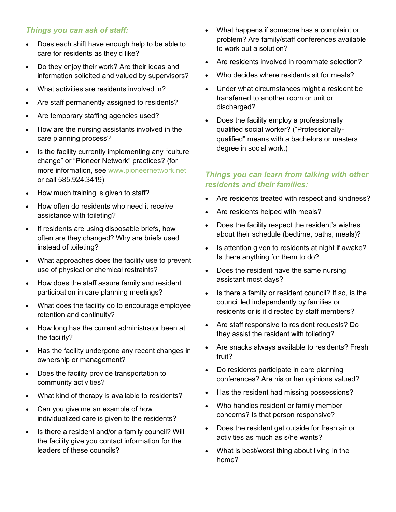## *Things you can ask of staff:*

- Does each shift have enough help to be able to care for residents as they'd like?
- Do they enjoy their work? Are their ideas and information solicited and valued by supervisors?
- What activities are residents involved in?
- Are staff permanently assigned to residents?
- Are temporary staffing agencies used?
- How are the nursing assistants involved in the care planning process?
- Is the facility currently implementing any "culture" change" or "Pioneer Network" practices? (for more information, see www.pioneernetwork.net or call 585.924.3419)
- How much training is given to staff?
- How often do residents who need it receive assistance with toileting?
- If residents are using disposable briefs, how often are they changed? Why are briefs used instead of toileting?
- What approaches does the facility use to prevent use of physical or chemical restraints?
- How does the staff assure family and resident participation in care planning meetings?
- What does the facility do to encourage employee retention and continuity?
- How long has the current administrator been at the facility?
- Has the facility undergone any recent changes in ownership or management?
- Does the facility provide transportation to community activities?
- What kind of therapy is available to residents?
- Can you give me an example of how individualized care is given to the residents?
- Is there a resident and/or a family council? Will the facility give you contact information for the leaders of these councils?
- What happens if someone has a complaint or problem? Are family/staff conferences available to work out a solution?
- Are residents involved in roommate selection?
- Who decides where residents sit for meals?
- Under what circumstances might a resident be transferred to another room or unit or discharged?
- Does the facility employ a professionally qualified social worker? ("Professionallyqualified" means with a bachelors or masters degree in social work.)

## *Things you can learn from talking with other residents and their families:*

- Are residents treated with respect and kindness?
- Are residents helped with meals?
- Does the facility respect the resident's wishes about their schedule (bedtime, baths, meals)?
- Is attention given to residents at night if awake? Is there anything for them to do?
- Does the resident have the same nursing assistant most days?
- Is there a family or resident council? If so, is the council led independently by families or residents or is it directed by staff members?
- Are staff responsive to resident requests? Do they assist the resident with toileting?
- Are snacks always available to residents? Fresh fruit?
- Do residents participate in care planning conferences? Are his or her opinions valued?
- Has the resident had missing possessions?
- Who handles resident or family member concerns? Is that person responsive?
- Does the resident get outside for fresh air or activities as much as s/he wants?
- What is best/worst thing about living in the home?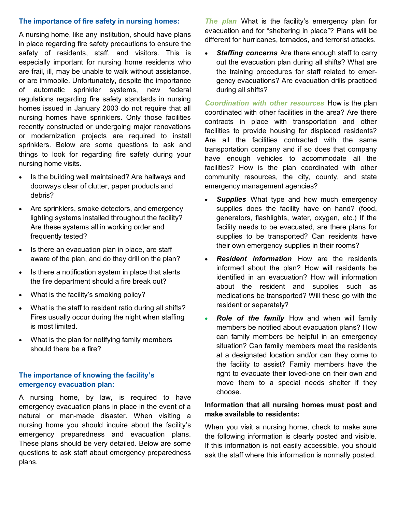## **The importance of fire safety in nursing homes:**

A nursing home, like any institution, should have plans in place regarding fire safety precautions to ensure the safety of residents, staff, and visitors. This is especially important for nursing home residents who are frail, ill, may be unable to walk without assistance, or are immobile. Unfortunately, despite the importance of automatic sprinkler systems, new federal regulations regarding fire safety standards in nursing homes issued in January 2003 do not require that all nursing homes have sprinklers. Only those facilities recently constructed or undergoing major renovations or modernization projects are required to install sprinklers. Below are some questions to ask and things to look for regarding fire safety during your nursing home visits.

- Is the building well maintained? Are hallways and doorways clear of clutter, paper products and debris?
- Are sprinklers, smoke detectors, and emergency lighting systems installed throughout the facility? Are these systems all in working order and frequently tested?
- Is there an evacuation plan in place, are staff aware of the plan, and do they drill on the plan?
- Is there a notification system in place that alerts the fire department should a fire break out?
- What is the facility's smoking policy?
- What is the staff to resident ratio during all shifts? Fires usually occur during the night when staffing is most limited.
- What is the plan for notifying family members should there be a fire?

## **The importance of knowing the facility's emergency evacuation plan:**

A nursing home, by law, is required to have emergency evacuation plans in place in the event of a natural or man-made disaster. When visiting a nursing home you should inquire about the facility's emergency preparedness and evacuation plans. These plans should be very detailed. Below are some questions to ask staff about emergency preparedness plans.

*The plan* What is the facility's emergency plan for evacuation and for "sheltering in place"? Plans will be different for hurricanes, tornados, and terrorist attacks.

• *Staffing concerns* Are there enough staff to carry out the evacuation plan during all shifts? What are the training procedures for staff related to emergency evacuations? Are evacuation drills practiced during all shifts?

*Coordination with other resources* How is the plan coordinated with other facilities in the area? Are there contracts in place with transportation and other facilities to provide housing for displaced residents? Are all the facilities contracted with the same transportation company and if so does that company have enough vehicles to accommodate all the facilities? How is the plan coordinated with other community resources, the city, county, and state emergency management agencies?

- **Supplies** What type and how much emergency supplies does the facility have on hand? (food, generators, flashlights, water, oxygen, etc.) If the facility needs to be evacuated, are there plans for supplies to be transported? Can residents have their own emergency supplies in their rooms?
- *Resident information* How are the residents informed about the plan? How will residents be identified in an evacuation? How will information about the resident and supplies such as medications be transported? Will these go with the resident or separately?
- *Role of the family* How and when will family members be notified about evacuation plans? How can family members be helpful in an emergency situation? Can family members meet the residents at a designated location and/or can they come to the facility to assist? Family members have the right to evacuate their loved-one on their own and move them to a special needs shelter if they choose.

## **Information that all nursing homes must post and make available to residents:**

When you visit a nursing home, check to make sure the following information is clearly posted and visible. If this information is not easily accessible, you should ask the staff where this information is normally posted.